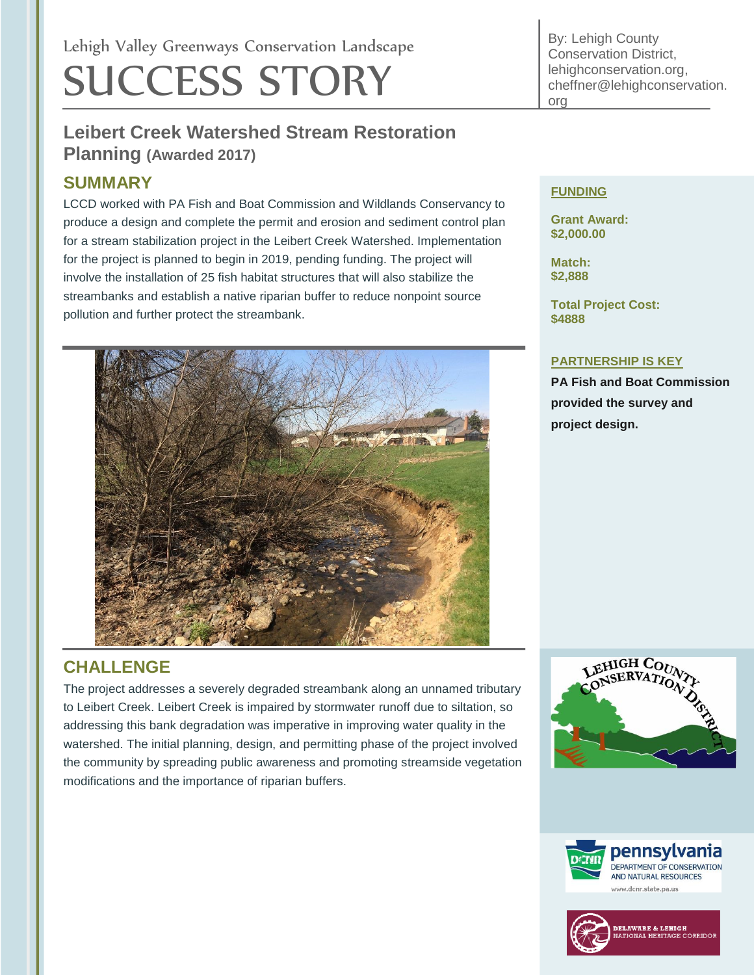# Lehigh Valley Greenways Conservation Landscape SUCCESS STORY

# **Leibert Creek Watershed Stream Restoration Planning (Awarded 2017)**

## **SUMMARY**

LCCD worked with PA Fish and Boat Commission and Wildlands Conservancy to produce a design and complete the permit and erosion and sediment control plan for a stream stabilization project in the Leibert Creek Watershed. Implementation for the project is planned to begin in 2019, pending funding. The project will involve the installation of 25 fish habitat structures that will also stabilize the streambanks and establish a native riparian buffer to reduce nonpoint source pollution and further protect the streambank.



# **CHALLENGE**

The project addresses a severely degraded streambank along an unnamed tributary to Leibert Creek. Leibert Creek is impaired by stormwater runoff due to siltation, so addressing this bank degradation was imperative in improving water quality in the watershed. The initial planning, design, and permitting phase of the project involved the community by spreading public awareness and promoting streamside vegetation modifications and the importance of riparian buffers.

By: Lehigh County Conservation District, lehighconservation.org, cheffner@lehighconservation. org

#### **FUNDING**

**Grant Award: \$2,000.00**

**Match: \$2,888**

**Total Project Cost: \$4888**

#### **PARTNERSHIP IS KEY**

**PA Fish and Boat Commission provided the survey and project design.**